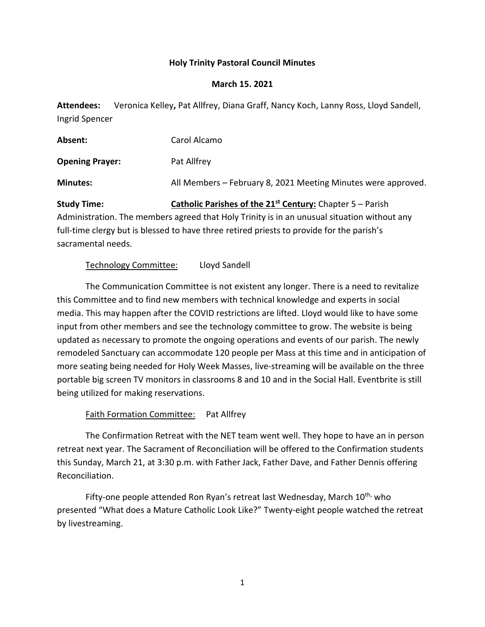#### **Holy Trinity Pastoral Council Minutes**

#### **March 15. 2021**

**Attendees:** Veronica Kelley**,** Pat Allfrey, Diana Graff, Nancy Koch, Lanny Ross, Lloyd Sandell, Ingrid Spencer

| Absent:                | Carol Alcamo                                                  |
|------------------------|---------------------------------------------------------------|
| <b>Opening Prayer:</b> | Pat Allfrey                                                   |
| <b>Minutes:</b>        | All Members – February 8, 2021 Meeting Minutes were approved. |
|                        |                                                               |

**Study Time: Catholic Parishes of the 21st Century:** Chapter 5 – Parish Administration. The members agreed that Holy Trinity is in an unusual situation without any full-time clergy but is blessed to have three retired priests to provide for the parish's sacramental needs.

# Technology Committee: Lloyd Sandell

The Communication Committee is not existent any longer. There is a need to revitalize this Committee and to find new members with technical knowledge and experts in social media. This may happen after the COVID restrictions are lifted. Lloyd would like to have some input from other members and see the technology committee to grow. The website is being updated as necessary to promote the ongoing operations and events of our parish. The newly remodeled Sanctuary can accommodate 120 people per Mass at this time and in anticipation of more seating being needed for Holy Week Masses, live-streaming will be available on the three portable big screen TV monitors in classrooms 8 and 10 and in the Social Hall. Eventbrite is still being utilized for making reservations.

# Faith Formation Committee: Pat Allfrey

The Confirmation Retreat with the NET team went well. They hope to have an in person retreat next year. The Sacrament of Reconciliation will be offered to the Confirmation students this Sunday, March 21, at 3:30 p.m. with Father Jack, Father Dave, and Father Dennis offering Reconciliation.

Fifty-one people attended Ron Ryan's retreat last Wednesday, March 10<sup>th,</sup> who presented "What does a Mature Catholic Look Like?" Twenty-eight people watched the retreat by livestreaming.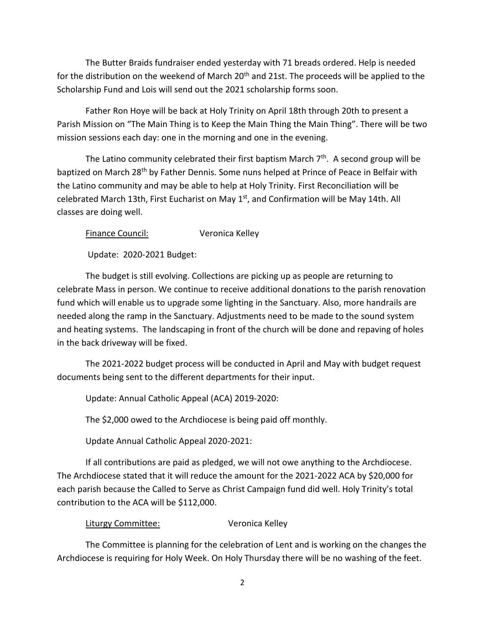The Butter Braids fundraiser ended yesterday with 71 breads ordered. Help is needed for the distribution on the weekend of March 20<sup>th</sup> and 21st. The proceeds will be applied to the Scholarship Fund and Lois will send out the 2021 scholarship forms soon.

Father Ron Hoye will be back at Holy Trinity on April 18th through 20th to present a Parish Mission on "The Main Thing is to Keep the Main Thing the Main Thing". There will be two mission sessions each day: one in the morning and one in the evening.

The Latino community celebrated their first baptism March 7<sup>th</sup>. A second group will be baptized on March 28<sup>th</sup> by Father Dennis. Some nuns helped at Prince of Peace in Belfair with the Latino community and may be able to help at Holy Trinity. First Reconciliation will be celebrated March 13th, First Eucharist on May 1<sup>st</sup>, and Confirmation will be May 14th. All classes are doing well.

Finance Council: Veronica Kelley

Update: 2020-2021 Budget:

The budget is still evolving. Collections are picking up as people are returning to celebrate Mass in person. We continue to receive additional donations to the parish renovation fund which will enable us to upgrade some lighting in the Sanctuary. Also, more handrails are needed along the ramp in the Sanctuary. Adjustments need to be made to the sound system and heating systems. The landscaping in front of the church will be done and repaving of holes in the back driveway will be fixed.

The 2021-2022 budget process will be conducted in April and May with budget request documents being sent to the different departments for their input.

Update: Annual Catholic Appeal (ACA) 2019-2020:

The \$2,000 owed to the Archdiocese is being paid off monthly.

Update Annual Catholic Appeal 2020-2021:

If all contributions are paid as pledged, we will not owe anything to the Archdiocese. The Archdiocese stated that it will reduce the amount for the 2021-2022 ACA by \$20,000 for each parish because the Called to Serve as Christ Campaign fund did well. Holy Trinity's total contribution to the ACA will be \$112,000.

Liturgy Committee: Veronica Kelley

The Committee is planning for the celebration of Lent and is working on the changes the Archdiocese is requiring for Holy Week. On Holy Thursday there will be no washing of the feet.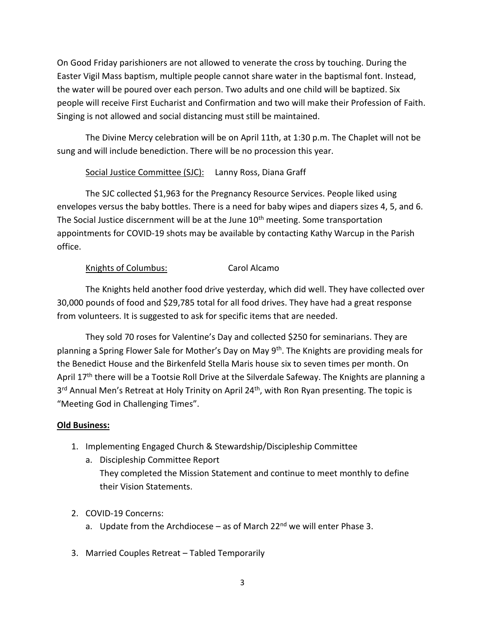On Good Friday parishioners are not allowed to venerate the cross by touching. During the Easter Vigil Mass baptism, multiple people cannot share water in the baptismal font. Instead, the water will be poured over each person. Two adults and one child will be baptized. Six people will receive First Eucharist and Confirmation and two will make their Profession of Faith. Singing is not allowed and social distancing must still be maintained.

The Divine Mercy celebration will be on April 11th, at 1:30 p.m. The Chaplet will not be sung and will include benediction. There will be no procession this year.

# Social Justice Committee (SJC): Lanny Ross, Diana Graff

The SJC collected \$1,963 for the Pregnancy Resource Services. People liked using envelopes versus the baby bottles. There is a need for baby wipes and diapers sizes 4, 5, and 6. The Social Justice discernment will be at the June  $10<sup>th</sup>$  meeting. Some transportation appointments for COVID-19 shots may be available by contacting Kathy Warcup in the Parish office.

# Knights of Columbus: Carol Alcamo

The Knights held another food drive yesterday, which did well. They have collected over 30,000 pounds of food and \$29,785 total for all food drives. They have had a great response from volunteers. It is suggested to ask for specific items that are needed.

They sold 70 roses for Valentine's Day and collected \$250 for seminarians. They are planning a Spring Flower Sale for Mother's Day on May 9<sup>th</sup>. The Knights are providing meals for the Benedict House and the Birkenfeld Stella Maris house six to seven times per month. On April 17<sup>th</sup> there will be a Tootsie Roll Drive at the Silverdale Safeway. The Knights are planning a 3<sup>rd</sup> Annual Men's Retreat at Holy Trinity on April 24<sup>th</sup>, with Ron Ryan presenting. The topic is "Meeting God in Challenging Times".

# **Old Business:**

- 1. Implementing Engaged Church & Stewardship/Discipleship Committee
	- a. Discipleship Committee Report They completed the Mission Statement and continue to meet monthly to define their Vision Statements.
- 2. COVID-19 Concerns:
	- a. Update from the Archdiocese as of March  $22^{nd}$  we will enter Phase 3.
- 3. Married Couples Retreat Tabled Temporarily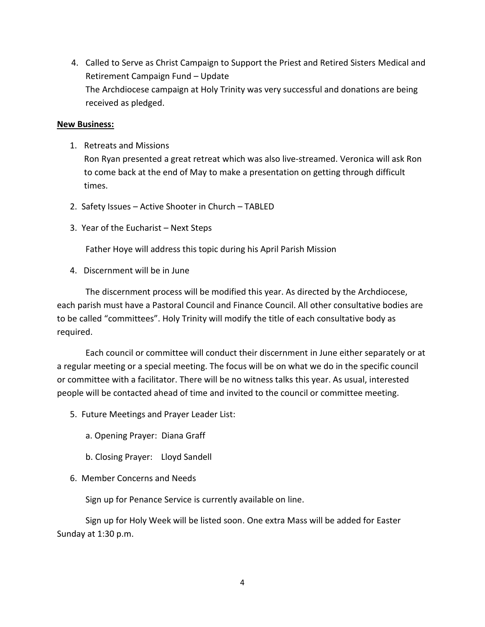4. Called to Serve as Christ Campaign to Support the Priest and Retired Sisters Medical and Retirement Campaign Fund – Update The Archdiocese campaign at Holy Trinity was very successful and donations are being received as pledged.

#### **New Business:**

1. Retreats and Missions

Ron Ryan presented a great retreat which was also live-streamed. Veronica will ask Ron to come back at the end of May to make a presentation on getting through difficult times.

- 2. Safety Issues Active Shooter in Church TABLED
- 3. Year of the Eucharist Next Steps

Father Hoye will address this topic during his April Parish Mission

4. Discernment will be in June

The discernment process will be modified this year. As directed by the Archdiocese, each parish must have a Pastoral Council and Finance Council. All other consultative bodies are to be called "committees". Holy Trinity will modify the title of each consultative body as required.

Each council or committee will conduct their discernment in June either separately or at a regular meeting or a special meeting. The focus will be on what we do in the specific council or committee with a facilitator. There will be no witness talks this year. As usual, interested people will be contacted ahead of time and invited to the council or committee meeting.

- 5. Future Meetings and Prayer Leader List:
	- a. Opening Prayer: Diana Graff
	- b. Closing Prayer: Lloyd Sandell
- 6. Member Concerns and Needs

Sign up for Penance Service is currently available on line.

Sign up for Holy Week will be listed soon. One extra Mass will be added for Easter Sunday at 1:30 p.m.